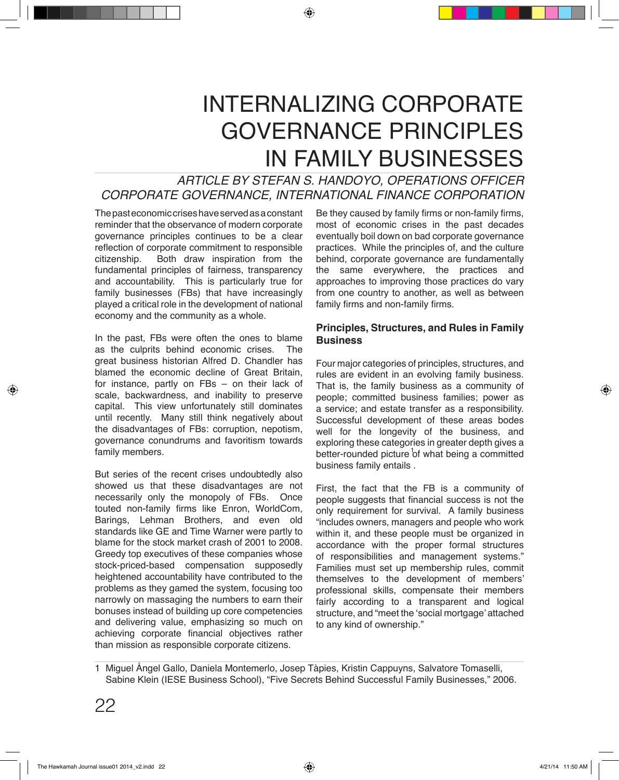# INTERNALIZING CORPORATE GOVERNANCE PRINCIPLES IN FAMILY BUSINESSES

# *ARTICLE BY STEFAN S. HANDOYO, OPERATIONS OFFICER CORPORATE GOVERNANCE, INTERNATIONAL FINANCE CORPORATION*

The past economic crises have served as a constant reminder that the observance of modern corporate governance principles continues to be a clear reflection of corporate commitment to responsible<br>citizenship. Both draw inspiration from the Both draw inspiration from the fundamental principles of fairness, transparency and accountability. This is particularly true for family businesses (FBs) that have increasingly played a critical role in the development of national economy and the community as a whole.

In the past, FBs were often the ones to blame<br>as the culprits behind economic crises. The as the culprits behind economic crises. great business historian Alfred D. Chandler has blamed the economic decline of Great Britain, for instance, partly on FBs – on their lack of scale, backwardness, and inability to preserve capital. This view unfortunately still dominates until recently. Many still think negatively about the disadvantages of FBs: corruption, nepotism, governance conundrums and favoritism towards family members.

But series of the recent crises undoubtedly also showed us that these disadvantages are not necessarily only the monopoly of FBs. Once touted non-family firms like Enron, WorldCom, Barings, Lehman Brothers, and even old standards like GE and Time Warner were partly to blame for the stock market crash of 2001 to 2008. Greedy top executives of these companies whose stock-priced-based compensation supposedly heightened accountability have contributed to the problems as they gamed the system, focusing too narrowly on massaging the numbers to earn their bonuses instead of building up core competencies and delivering value, emphasizing so much on achieving corporate financial objectives rather than mission as responsible corporate citizens.

Be they caused by family firms or non-family firms, most of economic crises in the past decades eventually boil down on bad corporate governance practices. While the principles of, and the culture behind, corporate governance are fundamentally the same everywhere, the practices and approaches to improving those practices do vary from one country to another, as well as between family firms and non-family firms.

# **Principles, Structures, and Rules in Family Business**

Four major categories of principles, structures, and rules are evident in an evolving family business. That is, the family business as a community of people; committed business families; power as a service; and estate transfer as a responsibility. Successful development of these areas bodes well for the longevity of the business, and exploring these categories in greater depth gives a better-rounded picture of what being a committed business family entails .

First, the fact that the FB is a community of people suggests that financial success is not the only requirement for survival. A family business "includes owners, managers and people who work within it, and these people must be organized in accordance with the proper formal structures of responsibilities and management systems." Families must set up membership rules, commit themselves to the development of members' professional skills, compensate their members fairly according to a transparent and logical structure, and "meet the 'social mortgage' attached to any kind of ownership."

1 Miguel Angel Gallo, Daniela Montemerlo, Josep Tàpies, Kristin Cappuyns, Salvatore Tomaselli, Sabine Klein (IESE Business School), "Five Secrets Behind Successful Family Businesses," 2006.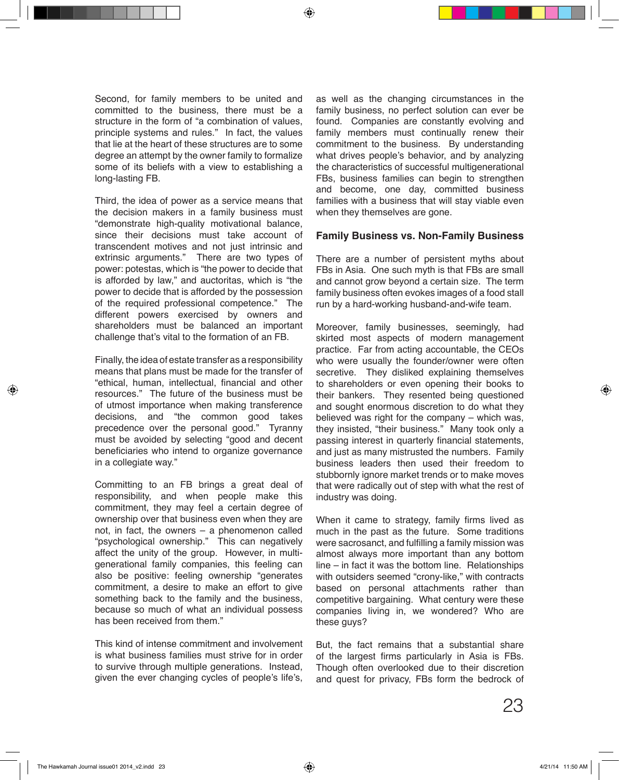Second, for family members to be united and committed to the business, there must be a structure in the form of "a combination of values, principle systems and rules." In fact, the values that lie at the heart of these structures are to some degree an attempt by the owner family to formalize some of its beliefs with a view to establishing a long-lasting FB.

Third, the idea of power as a service means that the decision makers in a family business must "demonstrate high-quality motivational balance, since their decisions must take account of transcendent motives and not just intrinsic and extrinsic arguments." There are two types of power: potestas, which is "the power to decide that is afforded by law," and auctoritas, which is "the power to decide that is afforded by the possession of the required professional competence." The different powers exercised by owners and shareholders must be balanced an important challenge that's vital to the formation of an FB.

Finally, the idea of estate transfer as a responsibility means that plans must be made for the transfer of "ethical, human, intellectual, financial and other resources." The future of the business must be of utmost importance when making transference decisions, and "the common good takes precedence over the personal good." Tyranny must be avoided by selecting "good and decent beneficiaries who intend to organize governance in a collegiate way."

Committing to an FB brings a great deal of responsibility, and when people make this commitment, they may feel a certain degree of ownership over that business even when they are not, in fact, the owners – a phenomenon called "psychological ownership." This can negatively affect the unity of the group. However, in multigenerational family companies, this feeling can also be positive: feeling ownership "generates commitment, a desire to make an effort to give something back to the family and the business, because so much of what an individual possess has been received from them."

This kind of intense commitment and involvement is what business families must strive for in order to survive through multiple generations. Instead, given the ever changing cycles of people's life's,

as well as the changing circumstances in the family business, no perfect solution can ever be found. Companies are constantly evolving and family members must continually renew their commitment to the business. By understanding what drives people's behavior, and by analyzing the characteristics of successful multigenerational FBs, business families can begin to strengthen and become, one day, committed business families with a business that will stay viable even when they themselves are gone.

# **Family Business vs. Non-Family Business**

There are a number of persistent myths about FBs in Asia. One such myth is that FBs are small and cannot grow beyond a certain size. The term family business often evokes images of a food stall run by a hard-working husband-and-wife team.

Moreover, family businesses, seemingly, had skirted most aspects of modern management practice. Far from acting accountable, the CEOs who were usually the founder/owner were often secretive. They disliked explaining themselves to shareholders or even opening their books to their bankers. They resented being questioned and sought enormous discretion to do what they believed was right for the company – which was, they insisted, "their business." Many took only a passing interest in quarterly financial statements, and just as many mistrusted the numbers. Family business leaders then used their freedom to stubbornly ignore market trends or to make moves that were radically out of step with what the rest of industry was doing.

When it came to strategy, family firms lived as much in the past as the future. Some traditions were sacrosanct, and fulfilling a family mission was almost always more important than any bottom line – in fact it was the bottom line. Relationships with outsiders seemed "crony-like," with contracts based on personal attachments rather than competitive bargaining. What century were these companies living in, we wondered? Who are these guys?

But, the fact remains that a substantial share of the largest firms particularly in Asia is FBs. Though often overlooked due to their discretion and quest for privacy, FBs form the bedrock of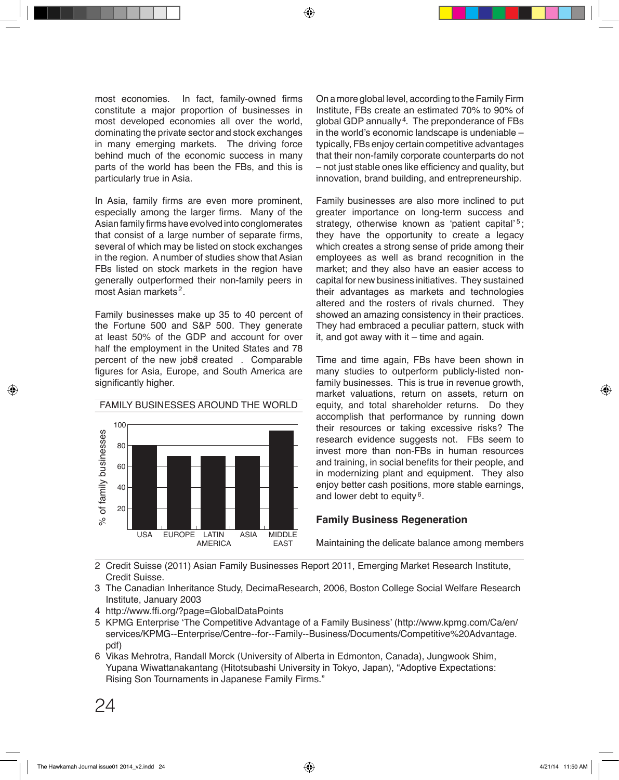most economies. In fact, family-owned firms constitute a major proportion of businesses in most developed economies all over the world, dominating the private sector and stock exchanges in many emerging markets. The driving force behind much of the economic success in many parts of the world has been the FBs, and this is particularly true in Asia.

In Asia, family firms are even more prominent, especially among the larger firms. Many of the Asian family firms have evolved into conglomerates that consist of a large number of separate firms, several of which may be listed on stock exchanges in the region. A number of studies show that Asian FBs listed on stock markets in the region have generally outperformed their non-family peers in most Asian markets<sup>2</sup>.

Family businesses make up 35 to 40 percent of the Fortune 500 and S&P 500. They generate at least 50% of the GDP and account for over half the employment in the United States and 78 percent of the new jobs created . Comparable figures for Asia, Europe, and South America are significantly higher.



On a more global level, according to the Family Firm Institute, FBs create an estimated 70% to 90% of global GDP annually<sup>4</sup>. The preponderance of FBs in the world's economic landscape is undeniable – typically, FBs enjoy certain competitive advantages that their non‐family corporate counterparts do not – not just stable ones like efficiency and quality, but innovation, brand building, and entrepreneurship.

Family businesses are also more inclined to put greater importance on long‐term success and strategy, otherwise known as 'patient capital'<sup>5</sup>; they have the opportunity to create a legacy which creates a strong sense of pride among their employees as well as brand recognition in the market; and they also have an easier access to capital for new business initiatives. They sustained their advantages as markets and technologies altered and the rosters of rivals churned. They showed an amazing consistency in their practices. They had embraced a peculiar pattern, stuck with it, and got away with it  $-$  time and again.

Time and time again, FBs have been shown in many studies to outperform publicly-listed nonfamily businesses. This is true in revenue growth, market valuations, return on assets, return on equity, and total shareholder returns. Do they accomplish that performance by running down their resources or taking excessive risks? The research evidence suggests not. FBs seem to invest more than non-FBs in human resources and training, in social benefits for their people, and in modernizing plant and equipment. They also enjoy better cash positions, more stable earnings, and lower debt to equity  $6$ .

# **Family Business Regeneration**

Maintaining the delicate balance among members

2 Credit Suisse (2011) Asian Family Businesses Report 2011, Emerging Market Research Institute, Credit Suisse.

- 3 The Canadian Inheritance Study, DecimaResearch, 2006, Boston College Social Welfare Research Institute, January 2003
- 4 http://www.ffi.org/?page=GlobalDataPoints
- 5 KPMG Enterprise 'The Competitive Advantage of a Family Business' (http://www.kpmg.com/Ca/en/ services/KPMG-‐Enterprise/Centre-‐for-‐Family-‐Business/Documents/Competitive%20Advantage. pdf)
- 6 Vikas Mehrotra, Randall Morck (University of Alberta in Edmonton, Canada), Jungwook Shim, Yupana Wiwattanakantang (Hitotsubashi University in Tokyo, Japan), "Adoptive Expectations: Rising Son Tournaments in Japanese Family Firms."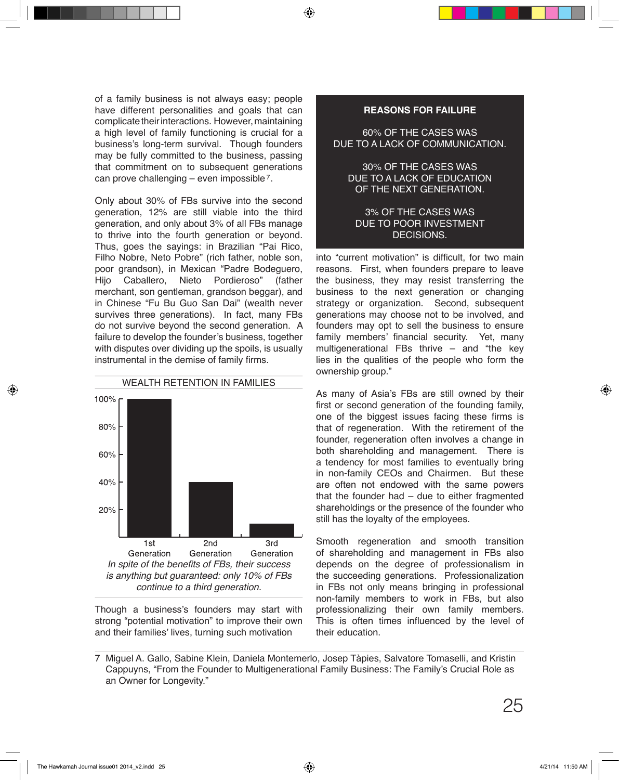of a family business is not always easy; people have different personalities and goals that can complicate their interactions. However, maintaining a high level of family functioning is crucial for a business's long-term survival. Though founders may be fully committed to the business, passing that commitment on to subsequent generations  $\mathop{\mathsf{can}}\nolimits$  prove challenging – even impossible  $\ell.$ 

Only about 30% of FBs survive into the second generation, 12% are still viable into the third generation, and only about 3% of all FBs manage to thrive into the fourth generation or beyond. Thus, goes the sayings: in Brazilian "Pai Rico, Filho Nobre, Neto Pobre" (rich father, noble son, poor grandson), in Mexican "Padre Bodeguero,<br>Hijo Caballero, Nieto Pordieroso" (father Hijo Caballero, Nieto Pordieroso" (father merchant, son gentleman, grandson beggar), and in Chinese "Fu Bu Guo San Dai" (wealth never survives three generations). In fact, many FBs do not survive beyond the second generation. A failure to develop the founder's business, together with disputes over dividing up the spoils, is usually instrumental in the demise of family firms.



Though a business's founders may start with strong "potential motivation" to improve their own and their families' lives, turning such motivation

### **REASONS FOR FAILURE**

60% OF THE CASES WAS DUE TO A LACK OF COMMUNICATION.

30% OF THE CASES WAS DUE TO A LACK OF EDUCATION OF THE NEXT GENERATION.

### 3% OF THE CASES WAS DUE TO POOR INVESTMENT DECISIONS.

into "current motivation" is difficult, for two main reasons. First, when founders prepare to leave the business, they may resist transferring the business to the next generation or changing strategy or organization. Second, subsequent generations may choose not to be involved, and founders may opt to sell the business to ensure family members' financial security. Yet, many multigenerational FBs thrive – and "the key lies in the qualities of the people who form the ownership group."

As many of Asia's FBs are still owned by their first or second generation of the founding family, one of the biggest issues facing these firms is that of regeneration. With the retirement of the founder, regeneration often involves a change in both shareholding and management. There is a tendency for most families to eventually bring in non-family CEOs and Chairmen. But these are often not endowed with the same powers that the founder had – due to either fragmented shareholdings or the presence of the founder who still has the loyalty of the employees.

Smooth regeneration and smooth transition of shareholding and management in FBs also depends on the degree of professionalism in the succeeding generations. Professionalization in FBs not only means bringing in professional non-family members to work in FBs, but also professionalizing their own family members. This is often times influenced by the level of their education.

Miguel A. Gallo, Sabine Klein, Daniela Montemerlo, Josep Tàpies, Salvatore Tomaselli, and Kristin 7 Cappuyns, "From the Founder to Multigenerational Family Business: The Family's Crucial Role as an Owner for Longevity."